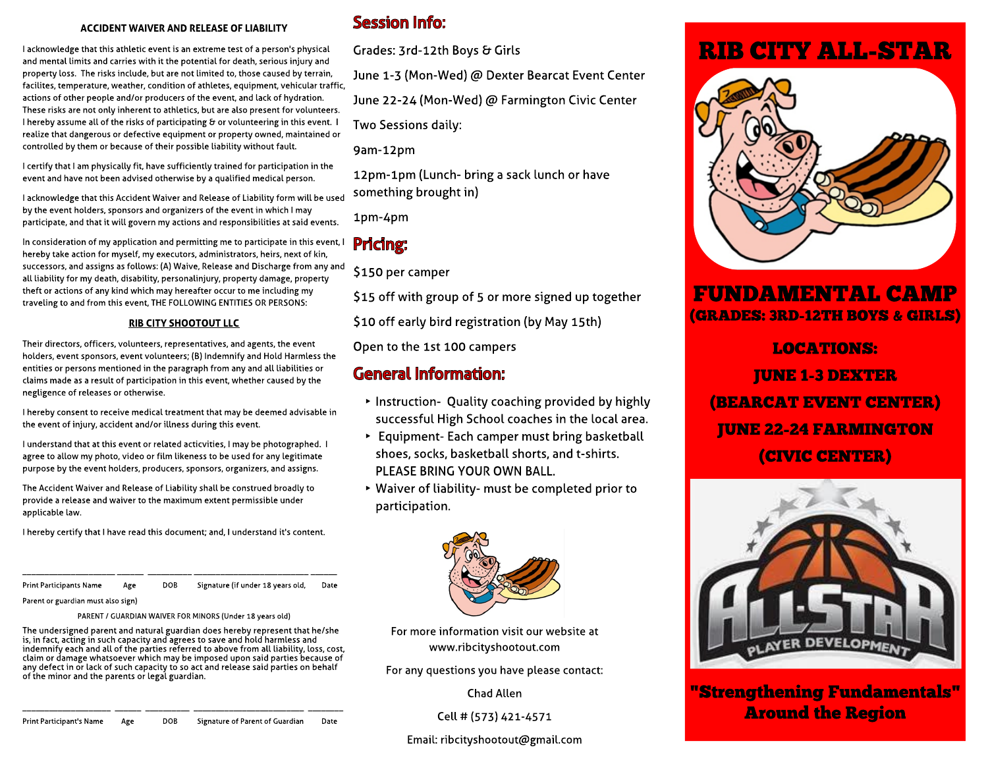#### **ACCIDENT WAIVERAND RELEASEOFLIABILITY**

Headline and mental limits and carries with it the potential for death, serious injury and<br>property loss. The risks include, but are not limited to, those caused by terrain<br>facilities temperature weather condition of athle I acknowledge that this athletic event is an extreme test of a person's physical property loss. The risks include, but are not limited to, those caused by terrain, facilites, temperature, weather, condition of athletes, equipment, vehicular traffic, actions of other people and/or producers of the event, and lack of hydration. These risks are not only inherent to athletics, but are also present for volunteers. I hereby assume all of the risks of participating & or volunteering in this event. I realize that dangerous or defective equipment or property owned, maintained or controlled by them or because of their possible liability without fault.

I certify that I am physically fit, have sufficiently trained for participation in the event and have not been advised otherwise by a qualified medical person.

I acknowledge that this Accident Waiver and Release of Liability form will be used by the event holders, sponsors and organizers of the event in which I may participate, and that it will govern my actions and responsibilities at said events.

In consideration of my application and permitting me to participate in this event, I hereby take action for myself, my executors, administrators, heirs, next of kin, successors, and assigns as follows: (A) Waive, Release and Discharge from any and all liability for my death, disability, personalinjury, property damage, property theft or actions of any kind which may hereafter occur to me including my traveling to and from this event, THE FOLLOWING ENTITIES OR PERSONS:

#### **RIBCITY SHOOTOUT LLC**

Their directors, officers, volunteers, representatives, and agents, the event holders, event sponsors, event volunteers; (B) Indemnify and Hold Harmless the entities or persons mentioned in the paragraph from any and all liabilities or claims made as a result of participation in this event, whether caused by the negligence of releases or otherwise.

I hereby consent to receive medical treatment that may be deemed advisable in the event of injury, accident and/or illness during this event.

I understand that at this event or related acticvities, I may be photographed. I agree to allow my photo, video or film likeness to be used for any legitimate purpose by the event holders, producers, sponsors, organizers, and assigns.

parpose by the examinedably produce<br>The Accident Waiver and Release of Li<mark>.</mark><br>provide a release and waiver to the ma The Accident Waiver and Release of Liability shall be construed broadly to provide a release and waiver to the maximum extent permissible under applicable law.

I hereby certify that I have read this document; and, I understand it's content.

et Print Participants Name and Age Aliquyam eratiquature (if under 18 years old, and Date Date and Date State I \_\_\_\_\_\_\_\_\_\_\_\_\_\_\_\_\_\_\_\_\_ \_\_\_\_\_\_ \_\_\_\_\_\_\_\_\_\_ \_\_\_\_\_\_\_\_\_\_\_\_\_\_\_\_\_\_\_\_\_\_\_\_\_\_ \_\_\_\_\_\_

Parent or guardian must also sign)

### PARENT / GUARDIAN WAIVER FOR MINORS (Under 18 years old)

The undersigned parent and natural guardian does hereby represent that h<br>is, in fact, acting in such capacity and agrees to save and hold harmless and indemnify each and att of the parties referred to above from att tiabitity, toss, cost<br>claim or damage whatsoever which may be imposed upon said parties because of any defect in or lack of such capacity to so act and release said part<br>of the minor and the parents or legal guardian. The undersigned parent and natural guardian does hereby represent that he/she indemnify each and all of the parties referred to above from all liability, loss, cost, any defect in or lack of such capacity to so act and release said parties on behalf

### Session Info:

Grades: 3rd-12th Boys & Girls

June 1-3 (Mon-Wed) @ Dexter Bearcat Event Center

June 22-24 (Mon-Wed) @ Farmington Civic Center

Two Sessions daily:

9am-12pm

12pm-1pm (Lunch- bring a sack lunch or have something brought in)

1pm-4pm

## Pricing:

\$150 per camper

\$15 off with group of 5 or more signed up together

\$10 off early bird registration (by May 15th)

Open to the 1st 100 campers

### General Information:

- Instruction- Quality coaching provided by highly successful High School coaches in the local area.
- ► Equipment- Each camper must bring basketball shoes, socks, basketball shorts, and t-shirts. PLEASE BRING YOUR OWN BALL.
- $\triangleright$  Waiver of liability- must be completed prior to participation.



For more information visit our website at www.ribcityshootout.com

For any questions you have please contact:

Chad Allen

Cell # (573) 421-4571

#### Email: ribcityshootout@gmail.com

# **RIB CITY ALL-STAR**



## **FUNDAMENTAL CAMP** (GRADES: 3RD-12TH BOYS & GIRLS)

LOCATIONS: JUNE 1-3 DEX TER (BEARCAT EVENT CENTER) **JUNE 22-24 FARMINGTON** (CIVIC CENTER)



" Strengthening Fundamentals" Around the Region